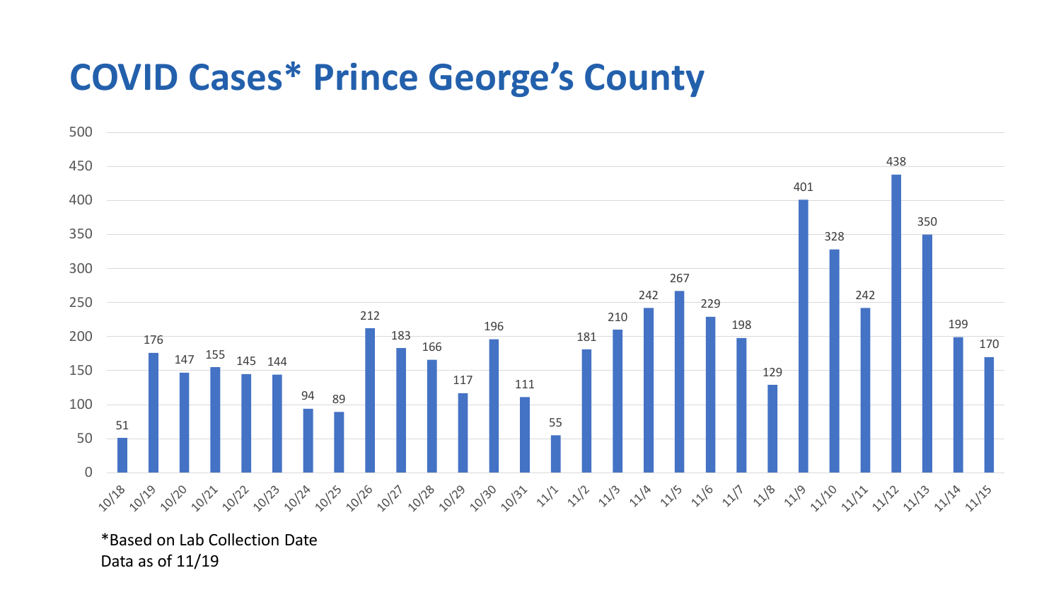## **COVID Cases\* Prince George's County**



\*Based on Lab Collection Date Data as of 11/19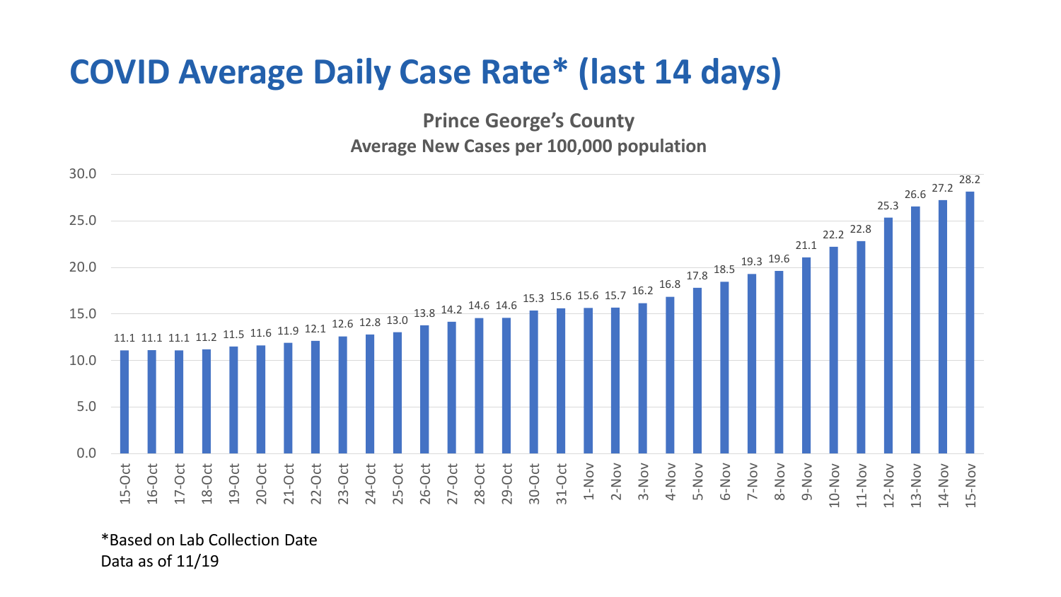## **COVID Average Daily Case Rate\* (last 14 days)**

**Prince George's County**

## **Average New Cases per 100,000 population**



\*Based on Lab Collection Date Data as of 11/19